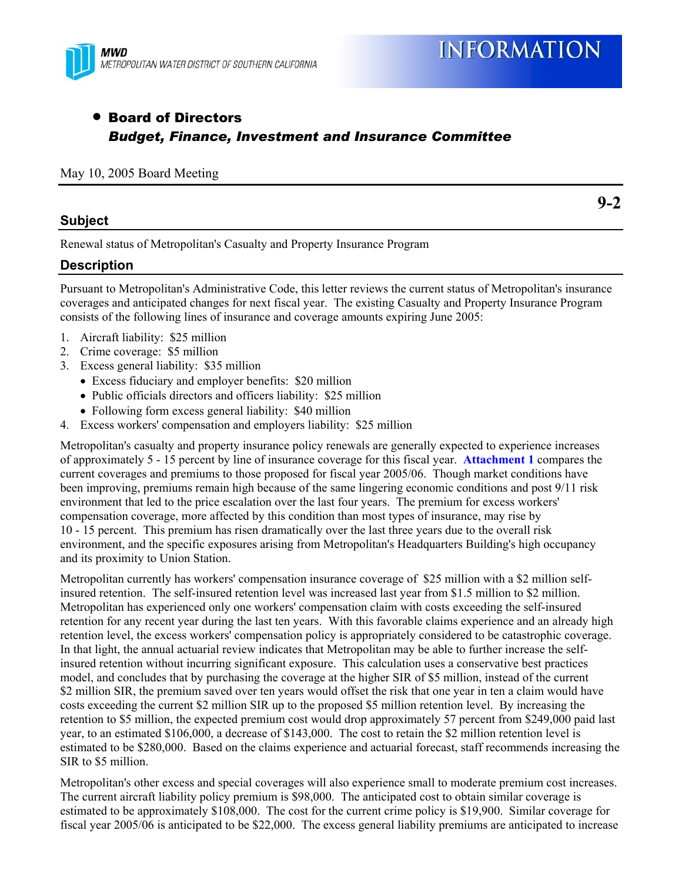

# • Board of Directors *Budget, Finance, Investment and Insurance Committee*

#### May 10, 2005 Board Meeting

### **Subject**

**9-2** 

Renewal status of Metropolitan's Casualty and Property Insurance Program

### **Description**

Pursuant to Metropolitan's Administrative Code, this letter reviews the current status of Metropolitan's insurance coverages and anticipated changes for next fiscal year. The existing Casualty and Property Insurance Program consists of the following lines of insurance and coverage amounts expiring June 2005:

- 1. Aircraft liability: \$25 million
- 2. Crime coverage: \$5 million
- 3. Excess general liability: \$35 million
	- Excess fiduciary and employer benefits: \$20 million
	- Public officials directors and officers liability: \$25 million
	- Following form excess general liability: \$40 million
- 4. Excess workers' compensation and employers liability: \$25 million

Metropolitan's casualty and property insurance policy renewals are generally expected to experience increases of approximately 5 - 15 percent by line of insurance coverage for this fiscal year. **Attachment 1** compares the current coverages and premiums to those proposed for fiscal year 2005/06. Though market conditions have been improving, premiums remain high because of the same lingering economic conditions and post 9/11 risk environment that led to the price escalation over the last four years. The premium for excess workers' compensation coverage, more affected by this condition than most types of insurance, may rise by 10 - 15 percent. This premium has risen dramatically over the last three years due to the overall risk environment, and the specific exposures arising from Metropolitan's Headquarters Building's high occupancy and its proximity to Union Station.

Metropolitan currently has workers' compensation insurance coverage of \$25 million with a \$2 million selfinsured retention. The self-insured retention level was increased last year from \$1.5 million to \$2 million. Metropolitan has experienced only one workers' compensation claim with costs exceeding the self-insured retention for any recent year during the last ten years. With this favorable claims experience and an already high retention level, the excess workers' compensation policy is appropriately considered to be catastrophic coverage. In that light, the annual actuarial review indicates that Metropolitan may be able to further increase the selfinsured retention without incurring significant exposure. This calculation uses a conservative best practices model, and concludes that by purchasing the coverage at the higher SIR of \$5 million, instead of the current \$2 million SIR, the premium saved over ten years would offset the risk that one year in ten a claim would have costs exceeding the current \$2 million SIR up to the proposed \$5 million retention level. By increasing the retention to \$5 million, the expected premium cost would drop approximately 57 percent from \$249,000 paid last year, to an estimated \$106,000, a decrease of \$143,000. The cost to retain the \$2 million retention level is estimated to be \$280,000. Based on the claims experience and actuarial forecast, staff recommends increasing the SIR to \$5 million.

Metropolitan's other excess and special coverages will also experience small to moderate premium cost increases. The current aircraft liability policy premium is \$98,000. The anticipated cost to obtain similar coverage is estimated to be approximately \$108,000. The cost for the current crime policy is \$19,900. Similar coverage for fiscal year 2005/06 is anticipated to be \$22,000. The excess general liability premiums are anticipated to increase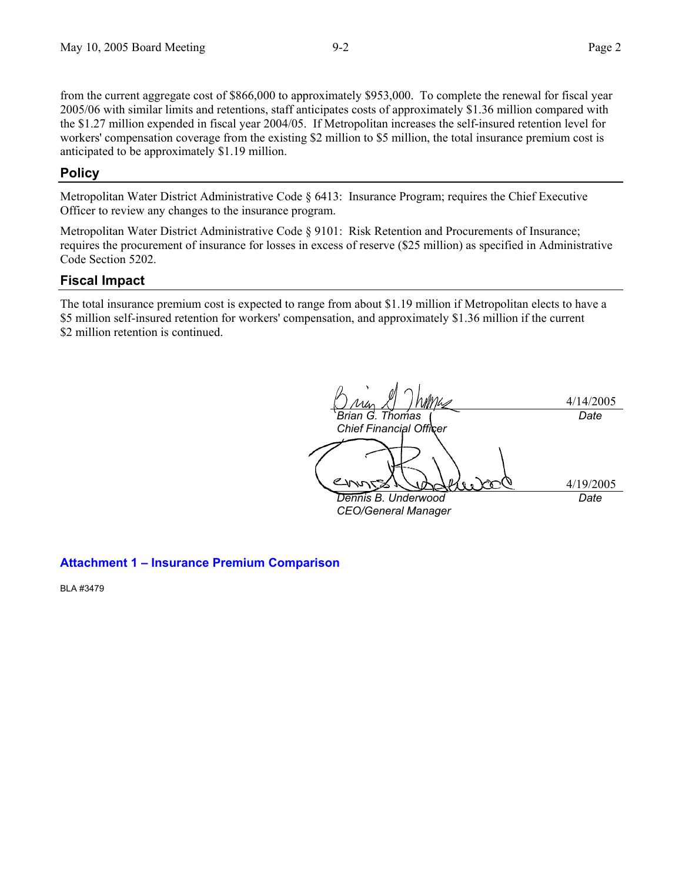from the current aggregate cost of \$866,000 to approximately \$953,000. To complete the renewal for fiscal year 2005/06 with similar limits and retentions, staff anticipates costs of approximately \$1.36 million compared with the \$1.27 million expended in fiscal year 2004/05. If Metropolitan increases the self-insured retention level for workers' compensation coverage from the existing \$2 million to \$5 million, the total insurance premium cost is anticipated to be approximately \$1.19 million.

### **Policy**

Metropolitan Water District Administrative Code § 6413: Insurance Program; requires the Chief Executive Officer to review any changes to the insurance program.

Metropolitan Water District Administrative Code § 9101: Risk Retention and Procurements of Insurance; requires the procurement of insurance for losses in excess of reserve (\$25 million) as specified in Administrative Code Section 5202.

#### **Fiscal Impact**

The total insurance premium cost is expected to range from about \$1.19 million if Metropolitan elects to have a \$5 million self-insured retention for workers' compensation, and approximately \$1.36 million if the current \$2 million retention is continued.

4/14/2005 *Brian G. Thomas Chief Financial Officer Date*  4/19/2005 *Dennis B. Underwood CEO/General Manager Date* 

#### **Attachment 1 – Insurance Premium Comparison**

BLA #3479